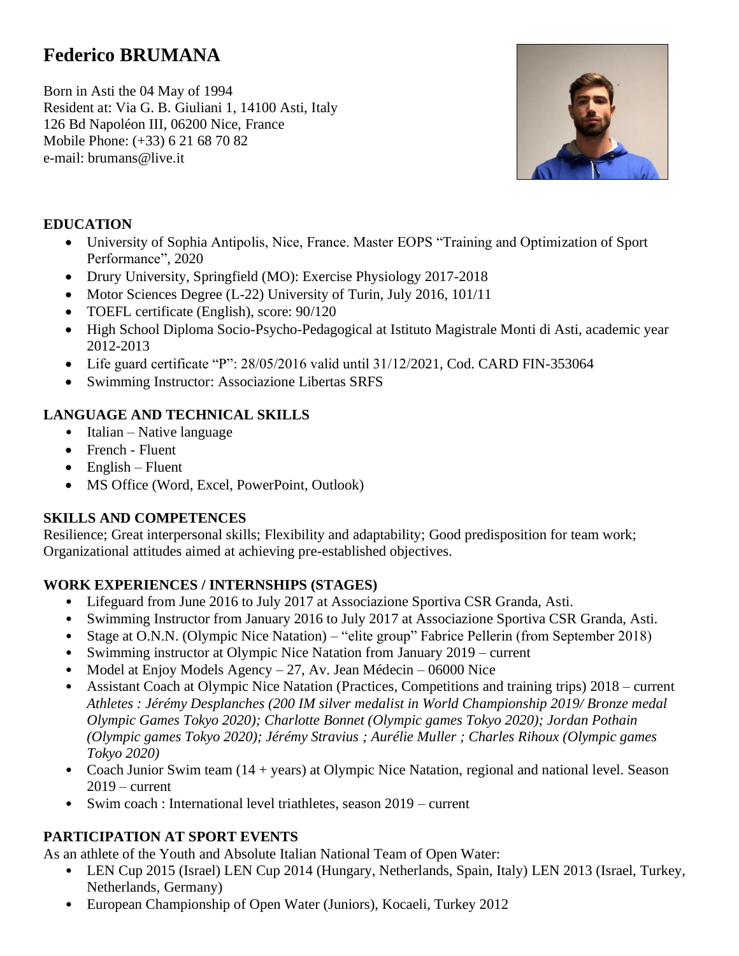# **Federico BRUMANA**

Born in Asti the 04 May of 1994 Resident at: Via G. B. Giuliani 1, 14100 Asti, Italy 126 Bd Napoléon III, 06200 Nice, France Mobile Phone: (+33) 6 21 68 70 82 e-mail: brumans@live.it



### **EDUCATION**

- University of Sophia Antipolis, Nice, France. Master EOPS "Training and Optimization of Sport Performance", 2020
- Drury University, Springfield (MO): Exercise Physiology 2017-2018
- Motor Sciences Degree (L-22) University of Turin, July 2016, 101/11
- TOEFL certificate (English), score:  $90/120$
- High School Diploma Socio-Psycho-Pedagogical at Istituto Magistrale Monti di Asti, academic year 2012-2013
- Life guard certificate "P": 28/05/2016 valid until 31/12/2021, Cod. CARD FIN-353064
- Swimming Instructor: Associazione Libertas SRFS

## **LANGUAGE AND TECHNICAL SKILLS**

- Italian Native language
- French Fluent
- $\bullet$  English Fluent
- MS Office (Word, Excel, PowerPoint, Outlook)

### **SKILLS AND COMPETENCES**

Resilience; Great interpersonal skills; Flexibility and adaptability; Good predisposition for team work; Organizational attitudes aimed at achieving pre-established objectives.

### **WORK EXPERIENCES / INTERNSHIPS (STAGES)**

- Lifeguard from June 2016 to July 2017 at Associazione Sportiva CSR Granda, Asti.
- Swimming Instructor from January 2016 to July 2017 at Associazione Sportiva CSR Granda, Asti.
- Stage at O.N.N. (Olympic Nice Natation) "elite group" Fabrice Pellerin (from September 2018)
- Swimming instructor at Olympic Nice Natation from January 2019 current
- Model at Enjoy Models Agency  $-27$ , Av. Jean Médecin  $-06000$  Nice
- Assistant Coach at Olympic Nice Natation (Practices, Competitions and training trips) 2018 current *Athletes : Jérémy Desplanches (200 IM silver medalist in World Championship 2019/ Bronze medal Olympic Games Tokyo 2020); Charlotte Bonnet (Olympic games Tokyo 2020); Jordan Pothain (Olympic games Tokyo 2020); Jérémy Stravius ; Aurélie Muller ; Charles Rihoux (Olympic games Tokyo 2020)*
- Coach Junior Swim team (14 + years) at Olympic Nice Natation, regional and national level. Season  $2019$  – current
- Swim coach : International level triathletes, season 2019 current

### **PARTICIPATION AT SPORT EVENTS**

As an athlete of the Youth and Absolute Italian National Team of Open Water:

- LEN Cup 2015 (Israel) LEN Cup 2014 (Hungary, Netherlands, Spain, Italy) LEN 2013 (Israel, Turkey, Netherlands, Germany)
- European Championship of Open Water (Juniors), Kocaeli, Turkey 2012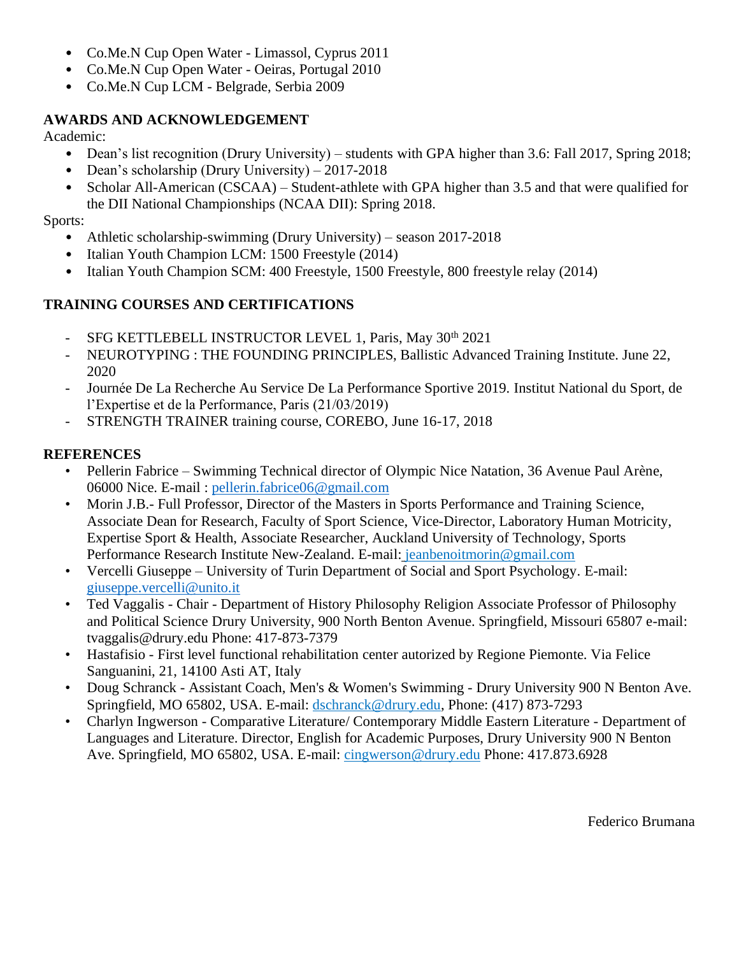- Co.Me.N Cup Open Water Limassol, Cyprus 2011
- Co.Me.N Cup Open Water Oeiras, Portugal 2010
- Co.Me.N Cup LCM Belgrade, Serbia 2009

#### **AWARDS AND ACKNOWLEDGEMENT**

Academic:

- Dean's list recognition (Drury University) students with GPA higher than 3.6: Fall 2017, Spring 2018;
- Dean's scholarship (Drury University) 2017-2018
- Scholar All-American (CSCAA) Student-athlete with GPA higher than 3.5 and that were qualified for the DII National Championships (NCAA DII): Spring 2018.

Sports:

- Athletic scholarship-swimming (Drury University) season 2017-2018
- Italian Youth Champion LCM: 1500 Freestyle (2014)
- Italian Youth Champion SCM: 400 Freestyle, 1500 Freestyle, 800 freestyle relay (2014)

### **TRAINING COURSES AND CERTIFICATIONS**

- SFG KETTLEBELL INSTRUCTOR LEVEL 1, Paris, May 30<sup>th</sup> 2021
- NEUROTYPING : THE FOUNDING PRINCIPLES, Ballistic Advanced Training Institute. June 22, 2020
- Journée De La Recherche Au Service De La Performance Sportive 2019. Institut National du Sport, de l'Expertise et de la Performance, Paris (21/03/2019)
- STRENGTH TRAINER training course, COREBO, June 16-17, 2018

### **REFERENCES**

- Pellerin Fabrice Swimming Technical director of Olympic Nice Natation, 36 Avenue Paul Arène, 06000 Nice. E-mail : [pellerin.fabrice06@gmail.com](mailto:pellerin.fabrice06@gmail.com)
- Morin J.B.- Full Professor, Director of the Masters in Sports Performance and Training Science, Associate Dean for Research, Faculty of Sport Science, Vice-Director, Laboratory Human Motricity, Expertise Sport & Health, Associate Researcher, Auckland University of Technology, Sports Performance Research Institute New-Zealand. E-mail: [jeanbenoitmorin@gmail.com](mailto:jeanbenoitmorin@gmail.com)
- Vercelli Giuseppe University of Turin Department of Social and Sport Psychology. E-mail: [giuseppe.vercelli@unito.it](mailto:giuseppe.vercelli@unito.it)
- Ted Vaggalis Chair Department of History Philosophy Religion Associate Professor of Philosophy and Political Science Drury University, 900 North Benton Avenue. Springfield, Missouri 65807 e-mail: tvaggalis@drury.edu Phone: 417-873-7379
- Hastafisio First level functional rehabilitation center autorized by Regione Piemonte. Via Felice Sanguanini, 21, 14100 Asti AT, Italy
- Doug Schranck Assistant Coach, Men's & Women's Swimming Drury University 900 N Benton Ave. Springfield, MO 65802, USA. E-mail: [dschranck@drury.edu,](mailto:dschranck@drury.edu) Phone: (417) 873-7293
- Charlyn Ingwerson Comparative Literature/ Contemporary Middle Eastern Literature Department of Languages and Literature. Director, English for Academic Purposes, Drury University 900 N Benton Ave. Springfield, MO 65802, USA. E-mail: cingwerson@drury.edu Phone: 417.873.6928

Federico Brumana